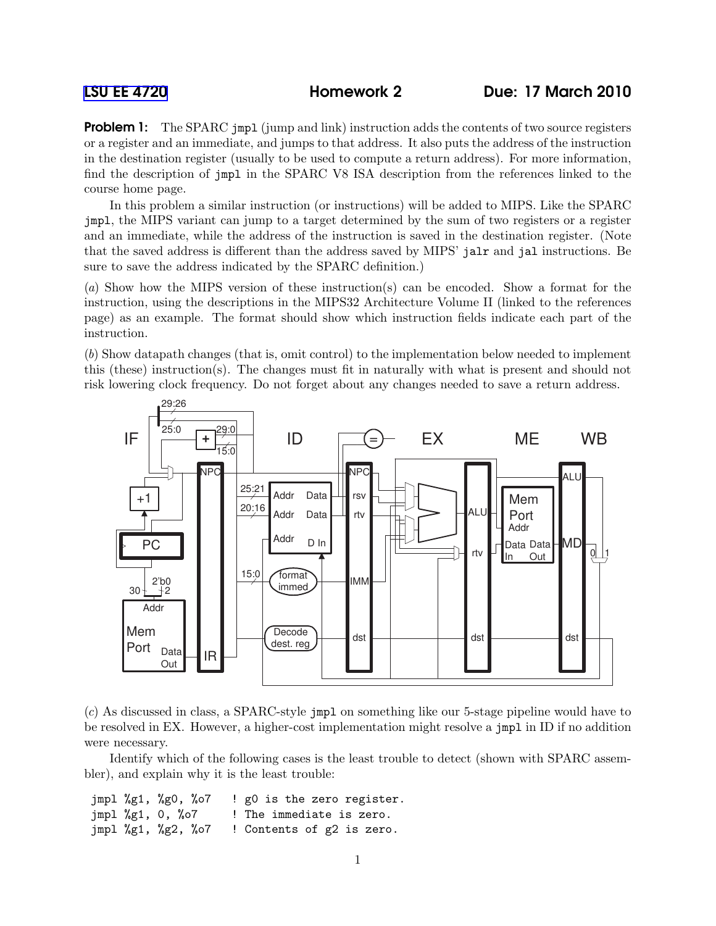**Problem 1:** The SPARC jmpl (jump and link) instruction adds the contents of two source registers or a register and an immediate, and jumps to that address. It also puts the address of the instruction in the destination register (usually to be used to compute a return address). For more information, find the description of jmpl in the SPARC V8 ISA description from the references linked to the course home page.

In this problem a similar instruction (or instructions) will be added to MIPS. Like the SPARC jmpl, the MIPS variant can jump to a target determined by the sum of two registers or a register and an immediate, while the address of the instruction is saved in the destination register. (Note that the saved address is different than the address saved by MIPS' jalr and jal instructions. Be sure to save the address indicated by the SPARC definition.)

(a) Show how the MIPS version of these instruction(s) can be encoded. Show a format for the instruction, using the descriptions in the MIPS32 Architecture Volume II (linked to the references page) as an example. The format should show which instruction fields indicate each part of the instruction.

(b) Show datapath changes (that is, omit control) to the implementation below needed to implement this (these) instruction(s). The changes must fit in naturally with what is present and should not risk lowering clock frequency. Do not forget about any changes needed to save a return address.





Identify which of the following cases is the least trouble to detect (shown with SPARC assembler), and explain why it is the least trouble:

jmpl %g1, %g0, %o7 ! g0 is the zero register. jmpl %g1, 0, %o7 ! The immediate is zero. jmpl %g1, %g2, %o7 ! Contents of g2 is zero.